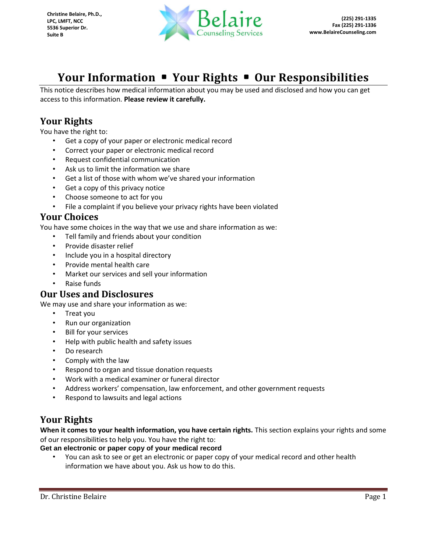

# **Your Information • Your Rights • Our Responsibilities**

This notice describes how medical information about you may be used and disclosed and how you can get access to this information. **Please review it carefully.**

# **Your Rights**

You have the right to:

- Get a copy of your paper or electronic medical record
- Correct your paper or electronic medical record
- Request confidential communication
- Ask us to limit the information we share
- Get a list of those with whom we've shared your information
- Get a copy of this privacy notice
- Choose someone to act for you
- File a complaint if you believe your privacy rights have been violated

### **Your Choices**

You have some choices in the way that we use and share information as we:

- Tell family and friends about your condition
- Provide disaster relief
- Include you in a hospital directory
- Provide mental health care
- Market our services and sell your information
- Raise funds

### **Our Uses and Disclosures**

We may use and share your information as we:

- Treat you
- Run our organization
- Bill for your services
- Help with public health and safety issues
- Do research
- Comply with the law
- Respond to organ and tissue donation requests
- Work with a medical examiner or funeral director
- Address workers' compensation, law enforcement, and other government requests
- Respond to lawsuits and legal actions

# **Your Rights**

**When it comes to your health information, you have certain rights.** This section explains your rights and some of our responsibilities to help you. You have the right to:

**Get an electronic or paper copy of your medical record** 

• You can ask to see or get an electronic or paper copy of your medical record and other health information we have about you. Ask us how to do this.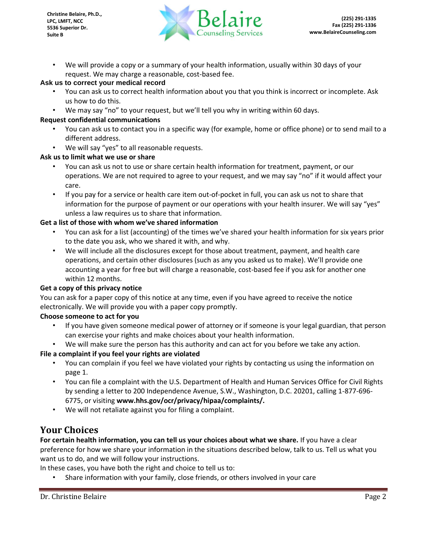**Christine Belaire, Ph.D., LPC, LMFT, NCC Suite B**



• We will provide a copy or a summary of your health information, usually within 30 days of your request. We may charge a reasonable, cost-based fee.

#### **Ask us to correct your medical record**

- You can ask us to correct health information about you that you think is incorrect or incomplete. Ask us how to do this.
- We may say "no" to your request, but we'll tell you why in writing within 60 days.

#### **Request confidential communications**

- You can ask us to contact you in a specific way (for example, home or office phone) or to send mail to a different address.
- We will say "yes" to all reasonable requests.

#### **Ask us to limit what we use or share**

- You can ask us not to use or share certain health information for treatment, payment, or our operations. We are not required to agree to your request, and we may say "no" if it would affect your care.
- If you pay for a service or health care item out-of-pocket in full, you can ask us not to share that information for the purpose of payment or our operations with your health insurer. We will say "yes" unless a law requires us to share that information.

#### **Get a list of those with whom we've shared information**

- You can ask for a list (accounting) of the times we've shared your health information for six years prior to the date you ask, who we shared it with, and why.
- We will include all the disclosures except for those about treatment, payment, and health care operations, and certain other disclosures (such as any you asked us to make). We'll provide one accounting a year for free but will charge a reasonable, cost-based fee if you ask for another one within 12 months.

#### **Get a copy of this privacy notice**

You can ask for a paper copy of this notice at any time, even if you have agreed to receive the notice electronically. We will provide you with a paper copy promptly.

#### **Choose someone to act for you**

- If you have given someone medical power of attorney or if someone is your legal guardian, that person can exercise your rights and make choices about your health information.
- We will make sure the person has this authority and can act for you before we take any action.

#### **File a complaint if you feel your rights are violated**

- You can complain if you feel we have violated your rights by contacting us using the information on page 1.
- You can file a complaint with the U.S. Department of Health and Human Services Office for Civil Rights by sending a letter to 200 Independence Avenue, S.W., Washington, D.C. 20201, calling 1-877-696- 6775, or visiting **www.hhs.gov/ocr/privacy/hipaa/complaints/.**
- We will not retaliate against you for filing a complaint.

# **Your Choices**

**For certain health information, you can tell us your choices about what we share.** If you have a clear preference for how we share your information in the situations described below, talk to us. Tell us what you want us to do, and we will follow your instructions.

In these cases, you have both the right and choice to tell us to:

• Share information with your family, close friends, or others involved in your care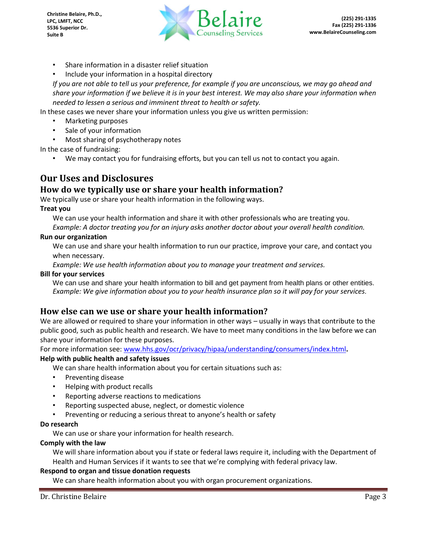

- Share information in a disaster relief situation
- Include your information in a hospital directory

*If you are not able to tell us your preference, for example if you are unconscious, we may go ahead and share your information if we believe it is in your best interest. We may also share your information when needed to lessen a serious and imminent threat to health or safety.*

In these cases we never share your information unless you give us written permission:

- Marketing purposes
- Sale of your information
- Most sharing of psychotherapy notes

In the case of fundraising:

• We may contact you for fundraising efforts, but you can tell us not to contact you again.

# **Our Uses and Disclosures**

### **How do we typically use or share your health information?**

We typically use or share your health information in the following ways.

#### **Treat you**

We can use your health information and share it with other professionals who are treating you. *Example: A doctor treating you for an injury asks another doctor about your overall health condition.*

#### **Run our organization**

We can use and share your health information to run our practice, improve your care, and contact you when necessary.

*Example: We use health information about you to manage your treatment and services.* 

#### **Bill for your services**

We can use and share your health information to bill and get payment from health plans or other entities. *Example: We give information about you to your health insurance plan so it will pay for your services.* 

### **How else can we use or share your health information?**

We are allowed or required to share your information in other ways – usually in ways that contribute to the public good, such as public health and research. We have to meet many conditions in the law before we can share your information for these purposes.

For more information see: [www.hhs.gov/ocr/privacy/hipaa/understanding/consumers/index.html](http://www.hhs.gov/ocr/privacy/hipaa/understanding/consumers/index.html)**.**

#### **Help with public health and safety issues**

We can share health information about you for certain situations such as:

- Preventing disease
- Helping with product recalls
- Reporting adverse reactions to medications
- Reporting suspected abuse, neglect, or domestic violence
- Preventing or reducing a serious threat to anyone's health or safety

#### **Do research**

We can use or share your information for health research.

#### **Comply with the law**

We will share information about you if state or federal laws require it, including with the Department of Health and Human Services if it wants to see that we're complying with federal privacy law.

#### **Respond to organ and tissue donation requests**

We can share health information about you with organ procurement organizations.